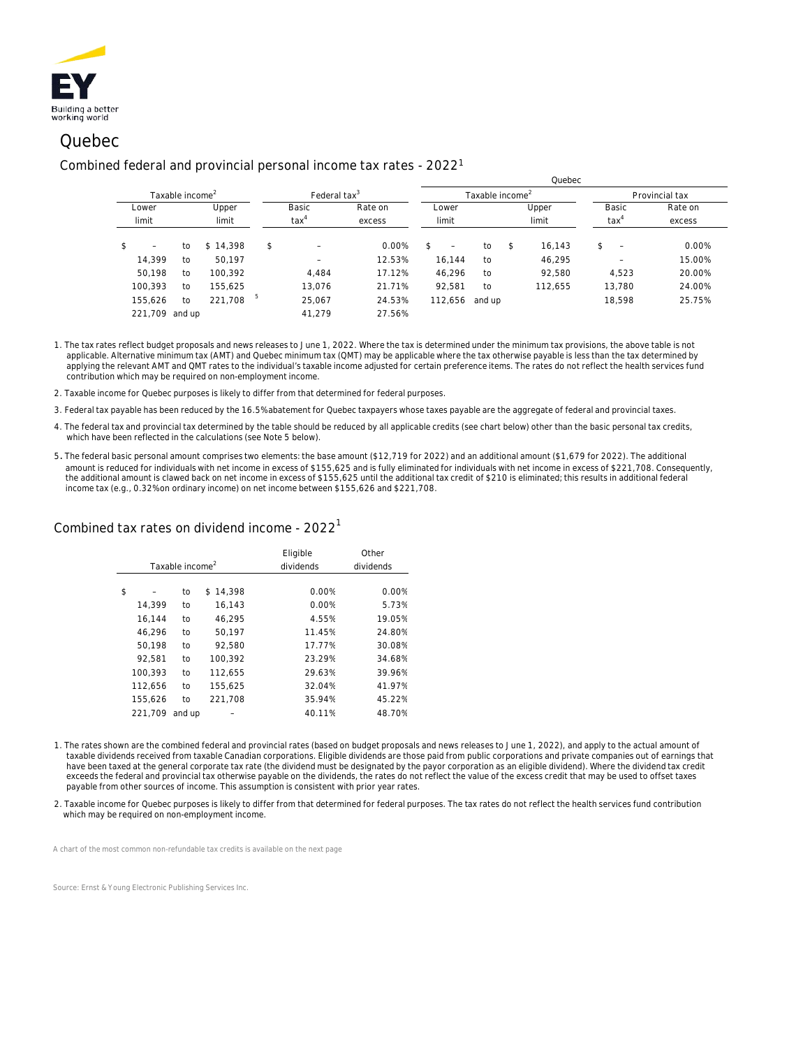

# Quebec

#### Combined federal and provincial personal income tax rates - 2022<sup>1</sup>

|                                |    |          |                |                          |                             | <b>QUEDEC</b>                  |        |       |                |                                |        |
|--------------------------------|----|----------|----------------|--------------------------|-----------------------------|--------------------------------|--------|-------|----------------|--------------------------------|--------|
| Taxable income <sup>2</sup>    |    |          |                | Federal tax <sup>3</sup> | Taxable income <sup>2</sup> |                                |        |       | Provincial tax |                                |        |
| Lower<br>limit                 |    | Upper    |                | Basic                    | Rate on                     | Lower                          | Upper  |       | Basic          | Rate on                        |        |
|                                |    | limit    | $\text{tax}^4$ |                          | excess                      | limit                          |        | limit |                | $\text{tax}^4$                 | excess |
| \$<br>$\overline{\phantom{a}}$ | to | \$14.398 | \$             |                          | 0.00%                       | \$<br>$\overline{\phantom{m}}$ | to     | \$    | 16.143         | \$<br>$\overline{\phantom{a}}$ | 0.00%  |
| 14.399                         | to | 50.197   |                | -                        | 12.53%                      | 16.144                         | to     |       | 46,295         |                                | 15.00% |
| 50,198                         | to | 100,392  |                | 4.484                    | 17.12%                      | 46,296                         | to     |       | 92,580         | 4,523                          | 20.00% |
| 100,393                        | to | 155.625  |                | 13,076                   | 21.71%                      | 92,581                         | to     |       | 112.655        | 13,780                         | 24.00% |
| 155.626                        | to | 221,708  | 5              | 25,067                   | 24.53%                      | 112,656                        | and up |       |                | 18,598                         | 25.75% |
| 221.709 and up                 |    |          |                | 41.279                   | 27.56%                      |                                |        |       |                |                                |        |

 $Q$ uebec

1. The tax rates reflect budget proposals and news releases to June 1, 2022. Where the tax is determined under the minimum tax provisions, the above table is not applicable. Alternative minimum tax (AMT) and Quebec minimum tax (QMT) may be applicable where the tax otherwise payable is less than the tax determined by applying the relevant AMT and QMT rates to the individual's taxable income adjusted for certain preference items. The rates do not reflect the health services fund contribution which may be required on non-employment income.

2. Taxable income for Quebec purposes is likely to differ from that determined for federal purposes.

- 3. Federal tax payable has been reduced by the 16.5% abatement for Quebec taxpayers whose taxes payable are the aggregate of federal and provincial taxes.
- 4. The federal tax and provincial tax determined by the table should be reduced by all applicable credits (see chart below) other than the basic personal tax credits, which have been reflected in the calculations (see Note 5 below).
- 5. The federal basic personal amount comprises two elements: the base amount (\$12,719 for 2022) and an additional amount (\$1,679 for 2022). The additional amount is reduced for individuals with net income in excess of \$155,625 and is fully eliminated for individuals with net income in excess of \$221,708. Consequently, the additional amount is clawed back on net income in excess of \$155,625 until the additional tax credit of \$210 is eliminated; this results in additional federal income tax (e.g., 0.32% on ordinary income) on net income between \$155,626 and \$221,708.

### Combined tax rates on dividend income -  $2022<sup>1</sup>$

|                             |         |        |          | Eligible  | Other     |  |
|-----------------------------|---------|--------|----------|-----------|-----------|--|
| Taxable income <sup>2</sup> |         |        |          | dividends | dividends |  |
|                             |         |        |          |           |           |  |
| \$                          |         | to     | \$14.398 | 0.00%     | 0.00%     |  |
|                             | 14.399  | to     | 16.143   | 0.00%     | 5.73%     |  |
|                             | 16,144  | to     | 46.295   | 4.55%     | 19.05%    |  |
|                             | 46.296  | to     | 50.197   | 11.45%    | 24.80%    |  |
|                             | 50.198  | to     | 92.580   | 17.77%    | 30.08%    |  |
|                             | 92.581  | to     | 100.392  | 23.29%    | 34.68%    |  |
|                             | 100.393 | to     | 112,655  | 29.63%    | 39.96%    |  |
|                             | 112,656 | to     | 155.625  | 32.04%    | 41.97%    |  |
|                             | 155.626 | to     | 221.708  | 35.94%    | 45.22%    |  |
|                             | 221.709 | and up |          | 40.11%    | 48.70%    |  |

- 1. The rates shown are the combined federal and provincial rates (based on budget proposals and news releases to June 1, 2022), and apply to the actual amount of taxable dividends received from taxable Canadian corporations. Eligible dividends are those paid from public corporations and private companies out of earnings that have been taxed at the general corporate tax rate (the dividend must be designated by the payor corporation as an eligible dividend). Where the dividend tax credit exceeds the federal and provincial tax otherwise payable on the dividends, the rates do not reflect the value of the excess credit that may be used to offset taxes payable from other sources of income. This assumption is consistent with prior year rates.
- 2. Taxable income for Quebec purposes is likely to differ from that determined for federal purposes. The tax rates do not reflect the health services fund contribution which may be required on non-employment income.

*A chart of the most common non-refundable tax credits is available on the next page*

*Source: Ernst & Young Electronic Publishing Services Inc.*